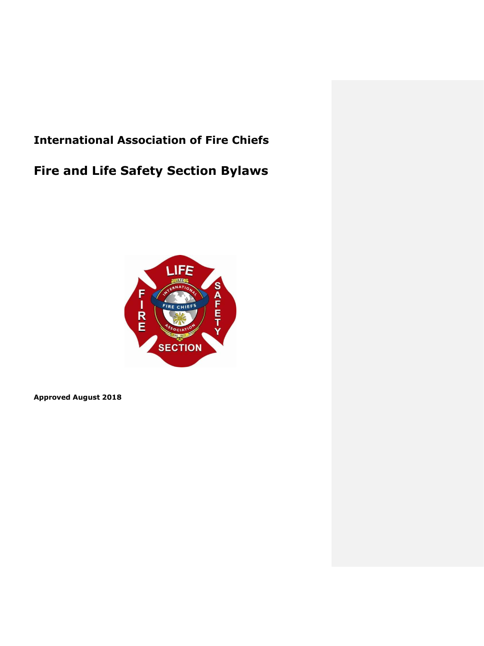# **International Association of Fire Chiefs**

# **Fire and Life Safety Section Bylaws**



**Approved August 2018**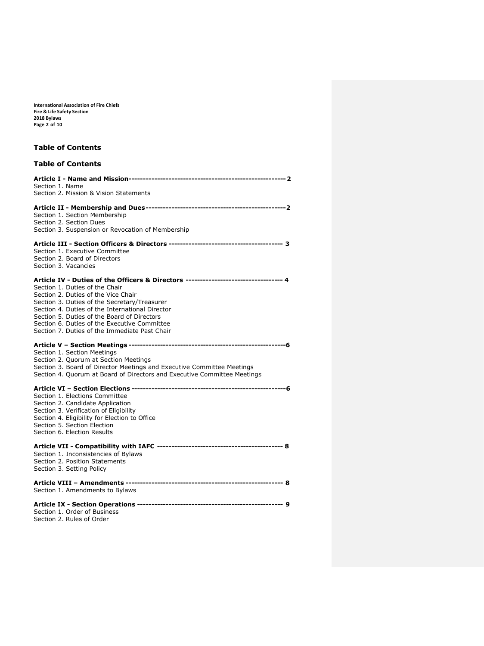**International Association of Fire Chiefs Fire & Life Safety Section 2018 Bylaws Page 2 of 10**

# **Table of Contents**

# **Table of Contents**

| Section 1. Name                                                                    |
|------------------------------------------------------------------------------------|
| Section 2. Mission & Vision Statements                                             |
|                                                                                    |
|                                                                                    |
| Section 1. Section Membership                                                      |
| Section 2. Section Dues                                                            |
| Section 3. Suspension or Revocation of Membership                                  |
|                                                                                    |
| Section 1. Executive Committee                                                     |
| Section 2. Board of Directors                                                      |
| Section 3. Vacancies                                                               |
| Article IV - Duties of the Officers & Directors -------------------------------- 4 |
| Section 1. Duties of the Chair                                                     |
| Section 2. Duties of the Vice Chair                                                |
| Section 3. Duties of the Secretary/Treasurer                                       |
| Section 4. Duties of the International Director                                    |
| Section 5. Duties of the Board of Directors                                        |
| Section 6. Duties of the Executive Committee                                       |
| Section 7. Duties of the Immediate Past Chair                                      |
|                                                                                    |
| Section 1. Section Meetings                                                        |
| Section 2. Quorum at Section Meetings                                              |
| Section 3. Board of Director Meetings and Executive Committee Meetings             |
| Section 4. Quorum at Board of Directors and Executive Committee Meetings           |
|                                                                                    |
| Section 1. Elections Committee                                                     |
| Section 2. Candidate Application                                                   |
| Section 3. Verification of Eligibility                                             |
| Section 4. Eligibility for Election to Office                                      |
| Section 5. Section Election                                                        |
| Section 6. Election Results                                                        |
|                                                                                    |
| Section 1. Inconsistencies of Bylaws                                               |
| Section 2. Position Statements                                                     |
| Section 3. Setting Policy                                                          |
|                                                                                    |
| Section 1. Amendments to Bylaws                                                    |
|                                                                                    |
| Section 1. Order of Business                                                       |
| Section 2. Rules of Order                                                          |
|                                                                                    |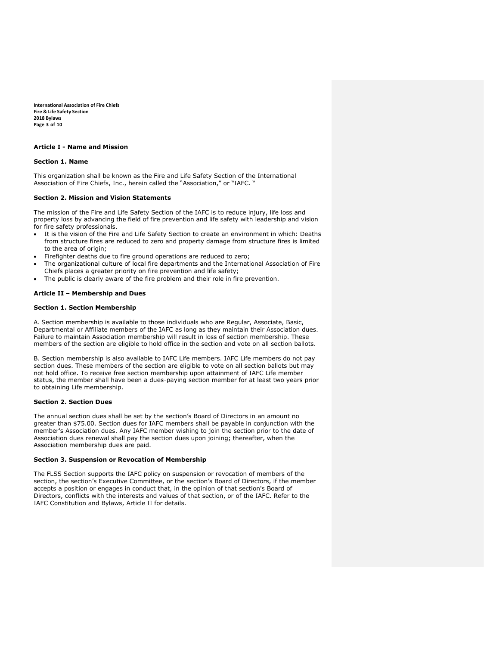**International Association of Fire Chiefs Fire & Life Safety Section 2018 Bylaws Page 3 of 10**

#### **Article I - Name and Mission**

#### **Section 1. Name**

This organization shall be known as the Fire and Life Safety Section of the International Association of Fire Chiefs, Inc., herein called the "Association," or "IAFC. "

#### **Section 2. Mission and Vision Statements**

The mission of the Fire and Life Safety Section of the IAFC is to reduce injury, life loss and property loss by advancing the field of fire prevention and life safety with leadership and vision for fire safety professionals.

- It is the vision of the Fire and Life Safety Section to create an environment in which: Deaths from structure fires are reduced to zero and property damage from structure fires is limited to the area of origin;
- Firefighter deaths due to fire ground operations are reduced to zero;
- The organizational culture of local fire departments and the International Association of Fire Chiefs places a greater priority on fire prevention and life safety;
- The public is clearly aware of the fire problem and their role in fire prevention.

#### **Article II – Membership and Dues**

#### **Section 1. Section Membership**

A. Section membership is available to those individuals who are Regular, Associate, Basic, Departmental or Affiliate members of the IAFC as long as they maintain their Association dues. Failure to maintain Association membership will result in loss of section membership. These members of the section are eligible to hold office in the section and vote on all section ballots.

B. Section membership is also available to IAFC Life members. IAFC Life members do not pay section dues. These members of the section are eligible to vote on all section ballots but may not hold office. To receive free section membership upon attainment of IAFC Life member status, the member shall have been a dues-paying section member for at least two years prior to obtaining Life membership.

#### **Section 2. Section Dues**

The annual section dues shall be set by the section's Board of Directors in an amount no greater than \$75.00. Section dues for IAFC members shall be payable in conjunction with the member's Association dues. Any IAFC member wishing to join the section prior to the date of Association dues renewal shall pay the section dues upon joining; thereafter, when the Association membership dues are paid.

#### **Section 3. Suspension or Revocation of Membership**

The FLSS Section supports the IAFC policy on suspension or revocation of members of the section, the section's Executive Committee, or the section's Board of Directors, if the member accepts a position or engages in conduct that, in the opinion of that section's Board of Directors, conflicts with the interests and values of that section, or of the IAFC. Refer to the IAFC Constitution and Bylaws, Article II for details.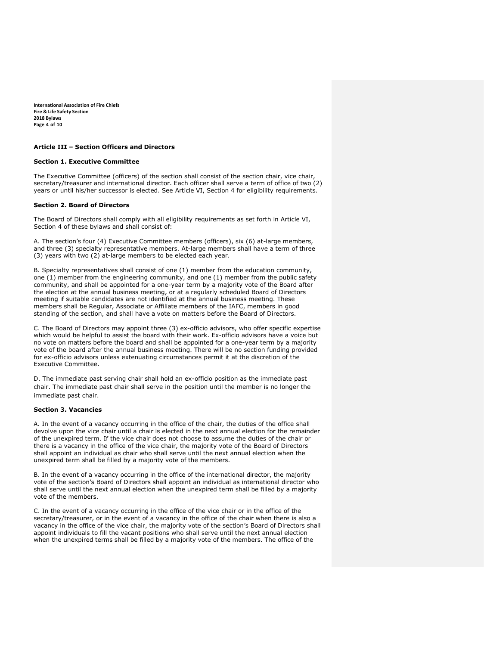**International Association of Fire Chiefs Fire & Life Safety Section 2018 Bylaws Page 4 of 10**

#### **Article III – Section Officers and Directors**

#### **Section 1. Executive Committee**

The Executive Committee (officers) of the section shall consist of the section chair, vice chair, secretary/treasurer and international director. Each officer shall serve a term of office of two (2) years or until his/her successor is elected. See Article VI, Section 4 for eligibility requirements.

#### **Section 2. Board of Directors**

The Board of Directors shall comply with all eligibility requirements as set forth in Article VI, Section 4 of these bylaws and shall consist of:

A. The section's four (4) Executive Committee members (officers), six (6) at-large members, and three (3) specialty representative members. At-large members shall have a term of three (3) years with two (2) at-large members to be elected each year.

B. Specialty representatives shall consist of one (1) member from the education community, one (1) member from the engineering community, and one (1) member from the public safety community, and shall be appointed for a one-year term by a majority vote of the Board after the election at the annual business meeting, or at a regularly scheduled Board of Directors meeting if suitable candidates are not identified at the annual business meeting. These members shall be Regular, Associate or Affiliate members of the IAFC, members in good standing of the section, and shall have a vote on matters before the Board of Directors.

C. The Board of Directors may appoint three (3) ex-officio advisors, who offer specific expertise which would be helpful to assist the board with their work. Ex-officio advisors have a voice but no vote on matters before the board and shall be appointed for a one-year term by a majority vote of the board after the annual business meeting. There will be no section funding provided for ex-officio advisors unless extenuating circumstances permit it at the discretion of the Executive Committee.

D. The immediate past serving chair shall hold an ex-officio position as the immediate past chair. The immediate past chair shall serve in the position until the member is no longer the immediate past chair.

# **Section 3. Vacancies**

A. In the event of a vacancy occurring in the office of the chair, the duties of the office shall devolve upon the vice chair until a chair is elected in the next annual election for the remainder of the unexpired term. If the vice chair does not choose to assume the duties of the chair or there is a vacancy in the office of the vice chair, the majority vote of the Board of Directors shall appoint an individual as chair who shall serve until the next annual election when the unexpired term shall be filled by a majority vote of the members.

B. In the event of a vacancy occurring in the office of the international director, the majority vote of the section's Board of Directors shall appoint an individual as international director who shall serve until the next annual election when the unexpired term shall be filled by a majority vote of the members.

C. In the event of a vacancy occurring in the office of the vice chair or in the office of the secretary/treasurer, or in the event of a vacancy in the office of the chair when there is also a vacancy in the office of the vice chair, the majority vote of the section's Board of Directors shall appoint individuals to fill the vacant positions who shall serve until the next annual election when the unexpired terms shall be filled by a majority vote of the members. The office of the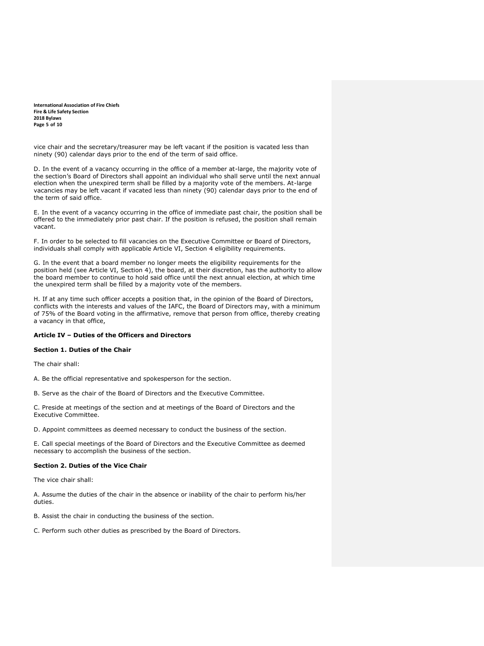**International Association of Fire Chiefs Fire & Life Safety Section 2018 Bylaws Page 5 of 10**

vice chair and the secretary/treasurer may be left vacant if the position is vacated less than ninety (90) calendar days prior to the end of the term of said office.

D. In the event of a vacancy occurring in the office of a member at-large, the majority vote of the section's Board of Directors shall appoint an individual who shall serve until the next annual election when the unexpired term shall be filled by a majority vote of the members. At-large vacancies may be left vacant if vacated less than ninety (90) calendar days prior to the end of the term of said office.

E. In the event of a vacancy occurring in the office of immediate past chair, the position shall be offered to the immediately prior past chair. If the position is refused, the position shall remain vacant.

F. In order to be selected to fill vacancies on the Executive Committee or Board of Directors, individuals shall comply with applicable Article VI, Section 4 eligibility requirements.

G. In the event that a board member no longer meets the eligibility requirements for the position held (see Article VI, Section 4), the board, at their discretion, has the authority to allow the board member to continue to hold said office until the next annual election, at which time the unexpired term shall be filled by a majority vote of the members.

H. If at any time such officer accepts a position that, in the opinion of the Board of Directors, conflicts with the interests and values of the IAFC, the Board of Directors may, with a minimum of 75% of the Board voting in the affirmative, remove that person from office, thereby creating a vacancy in that office,

## **Article IV – Duties of the Officers and Directors**

# **Section 1. Duties of the Chair**

The chair shall:

A. Be the official representative and spokesperson for the section.

B. Serve as the chair of the Board of Directors and the Executive Committee.

C. Preside at meetings of the section and at meetings of the Board of Directors and the Executive Committee.

D. Appoint committees as deemed necessary to conduct the business of the section.

E. Call special meetings of the Board of Directors and the Executive Committee as deemed necessary to accomplish the business of the section.

#### **Section 2. Duties of the Vice Chair**

The vice chair shall:

A. Assume the duties of the chair in the absence or inability of the chair to perform his/her duties.

B. Assist the chair in conducting the business of the section.

C. Perform such other duties as prescribed by the Board of Directors.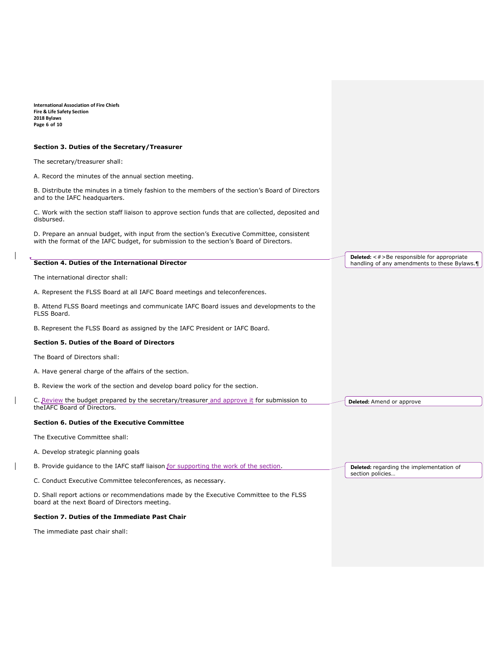**International Association of Fire Chiefs Fire & Life Safety Section 2018 Bylaws Page 6 of 10**

#### **Section 3. Duties of the Secretary/Treasurer**

The secretary/treasurer shall:

A. Record the minutes of the annual section meeting.

B. Distribute the minutes in a timely fashion to the members of the section's Board of Directors and to the IAFC headquarters.

C. Work with the section staff liaison to approve section funds that are collected, deposited and disbursed.

D. Prepare an annual budget, with input from the section's Executive Committee, consistent with the format of the IAFC budget, for submission to the section's Board of Directors.

# **Section 4. Duties of the International Director** The international director shall: A. Represent the FLSS Board at all IAFC Board meetings and teleconferences. B. Attend FLSS Board meetings and communicate IAFC Board issues and developments to the FLSS Board. B. Represent the FLSS Board as assigned by the IAFC President or IAFC Board. **Section 5. Duties of the Board of Directors** The Board of Directors shall: A. Have general charge of the affairs of the section. B. Review the work of the section and develop board policy for the section. C. Review the budget prepared by the secretary/treasurer and approve it for submission to theIAFC Board of Directors. **Section 6. Duties of the Executive Committee** The Executive Committee shall: A. Develop strategic planning goals B. Provide guidance to the IAFC staff liaison for supporting the work of the section. C. Conduct Executive Committee teleconferences, as necessary. D. Shall report actions or recommendations made by the Executive Committee to the FLSS board at the next Board of Directors meeting. **Section 7. Duties of the Immediate Past Chair** The immediate past chair shall: **Deleted:** <#>Be responsible for appropriate handling of any amendments to these Bylaws.¶ **Deleted:** Amend or approve **Deleted:** regarding the implementation of section policies.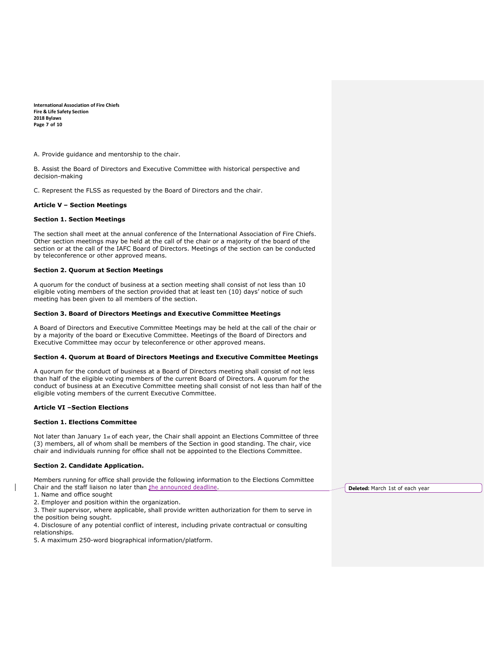**International Association of Fire Chiefs Fire & Life Safety Section 2018 Bylaws Page 7 of 10**

A. Provide guidance and mentorship to the chair.

B. Assist the Board of Directors and Executive Committee with historical perspective and decision-making

C. Represent the FLSS as requested by the Board of Directors and the chair.

#### **Article V – Section Meetings**

#### **Section 1. Section Meetings**

The section shall meet at the annual conference of the International Association of Fire Chiefs. Other section meetings may be held at the call of the chair or a majority of the board of the section or at the call of the IAFC Board of Directors. Meetings of the section can be conducted by teleconference or other approved means.

#### **Section 2. Quorum at Section Meetings**

A quorum for the conduct of business at a section meeting shall consist of not less than 10 eligible voting members of the section provided that at least ten (10) days' notice of such meeting has been given to all members of the section.

#### **Section 3. Board of Directors Meetings and Executive Committee Meetings**

A Board of Directors and Executive Committee Meetings may be held at the call of the chair or by a majority of the board or Executive Committee. Meetings of the Board of Directors and Executive Committee may occur by teleconference or other approved means.

#### **Section 4. Quorum at Board of Directors Meetings and Executive Committee Meetings**

A quorum for the conduct of business at a Board of Directors meeting shall consist of not less than half of the eligible voting members of the current Board of Directors. A quorum for the conduct of business at an Executive Committee meeting shall consist of not less than half of the eligible voting members of the current Executive Committee.

#### **Article VI –Section Elections**

#### **Section 1. Elections Committee**

Not later than January  $1<sub>st</sub>$  of each year, the Chair shall appoint an Elections Committee of three (3) members, all of whom shall be members of the Section in good standing. The chair, vice chair and individuals running for office shall not be appointed to the Elections Committee.

#### **Section 2. Candidate Application.**

| Members running for office shall provide the following information to the Elections Committee   |
|-------------------------------------------------------------------------------------------------|
| Chair and the staff liaison no later than the announced deadline.                               |
| 1. Name and office sought                                                                       |
| 2. Employer and position within the organization.                                               |
| 3. Their supervisor, where applicable, shall provide written authorization for them to serve in |
|                                                                                                 |

the position being sought.

4. Disclosure of any potential conflict of interest, including private contractual or consulting relationships.

5. A maximum 250-word biographical information/platform.

**Deleted:** March 1st of each year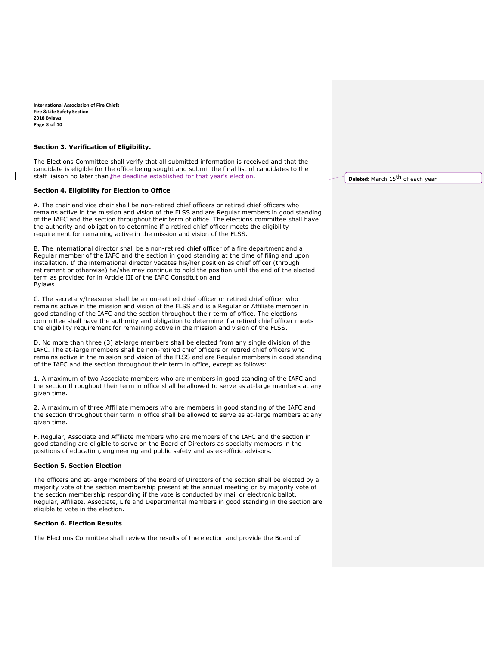**International Association of Fire Chiefs Fire & Life Safety Section 2018 Bylaws Page 8 of 10**

#### **Section 3. Verification of Eligibility.**

The Elections Committee shall verify that all submitted information is received and that the candidate is eligible for the office being sought and submit the final list of candidates to the staff liaison no later than the deadline established for that year's election.

## **Section 4. Eligibility for Election to Office**

A. The chair and vice chair shall be non-retired chief officers or retired chief officers who remains active in the mission and vision of the FLSS and are Regular members in good standing of the IAFC and the section throughout their term of office. The elections committee shall have the authority and obligation to determine if a retired chief officer meets the eligibility requirement for remaining active in the mission and vision of the FLSS.

B. The international director shall be a non-retired chief officer of a fire department and a Regular member of the IAFC and the section in good standing at the time of filing and upon installation. If the international director vacates his/her position as chief officer (through retirement or otherwise) he/she may continue to hold the position until the end of the elected term as provided for in Article III of the IAFC Constitution and Bylaws.

C. The secretary/treasurer shall be a non-retired chief officer or retired chief officer who remains active in the mission and vision of the FLSS and is a Regular or Affiliate member in good standing of the IAFC and the section throughout their term of office. The elections committee shall have the authority and obligation to determine if a retired chief officer meets the eligibility requirement for remaining active in the mission and vision of the FLSS.

D. No more than three (3) at-large members shall be elected from any single division of the IAFC. The at-large members shall be non-retired chief officers or retired chief officers who remains active in the mission and vision of the FLSS and are Regular members in good standing of the IAFC and the section throughout their term in office, except as follows:

1. A maximum of two Associate members who are members in good standing of the IAFC and the section throughout their term in office shall be allowed to serve as at-large members at any given time.

2. A maximum of three Affiliate members who are members in good standing of the IAFC and the section throughout their term in office shall be allowed to serve as at-large members at any given time.

F. Regular, Associate and Affiliate members who are members of the IAFC and the section in good standing are eligible to serve on the Board of Directors as specialty members in the positions of education, engineering and public safety and as ex-officio advisors.

#### **Section 5. Section Election**

The officers and at-large members of the Board of Directors of the section shall be elected by a majority vote of the section membership present at the annual meeting or by majority vote of the section membership responding if the vote is conducted by mail or electronic ballot. Regular, Affiliate, Associate, Life and Departmental members in good standing in the section are eligible to vote in the election.

#### **Section 6. Election Results**

The Elections Committee shall review the results of the election and provide the Board of

**Deleted:** March 15<sup>th</sup> of each year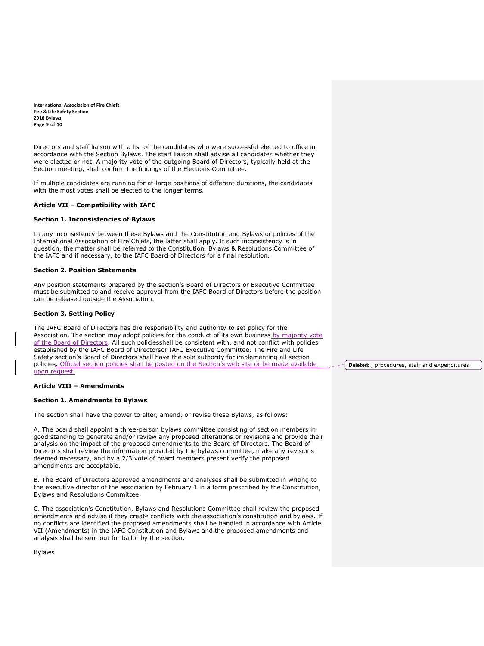**International Association of Fire Chiefs Fire & Life Safety Section 2018 Bylaws Page 9 of 10**

Directors and staff liaison with a list of the candidates who were successful elected to office in accordance with the Section Bylaws. The staff liaison shall advise all candidates whether they were elected or not. A majority vote of the outgoing Board of Directors, typically held at the Section meeting, shall confirm the findings of the Elections Committee.

If multiple candidates are running for at-large positions of different durations, the candidates with the most votes shall be elected to the longer terms.

#### **Article VII – Compatibility with IAFC**

#### **Section 1. Inconsistencies of Bylaws**

In any inconsistency between these Bylaws and the Constitution and Bylaws or policies of the International Association of Fire Chiefs, the latter shall apply. If such inconsistency is in question, the matter shall be referred to the Constitution, Bylaws & Resolutions Committee of the IAFC and if necessary, to the IAFC Board of Directors for a final resolution.

#### **Section 2. Position Statements**

Any position statements prepared by the section's Board of Directors or Executive Committee must be submitted to and receive approval from the IAFC Board of Directors before the position can be released outside the Association.

#### **Section 3. Setting Policy**

The IAFC Board of Directors has the responsibility and authority to set policy for the Association. The section may adopt policies for the conduct of its own business by majority vote of the Board of Directors. All such policiesshall be consistent with, and not conflict with policies established by the IAFC Board of Directorsor IAFC Executive Committee. The Fire and Life Safety section's Board of Directors shall have the sole authority for implementing all section policies. Official section policies shall be posted on the Section's web site or be made available upon request.

#### **Article VIII – Amendments**

#### **Section 1. Amendments to Bylaws**

The section shall have the power to alter, amend, or revise these Bylaws, as follows:

A. The board shall appoint a three-person bylaws committee consisting of section members in good standing to generate and/or review any proposed alterations or revisions and provide their analysis on the impact of the proposed amendments to the Board of Directors. The Board of Directors shall review the information provided by the bylaws committee, make any revisions deemed necessary, and by a 2/3 vote of board members present verify the proposed amendments are acceptable.

B. The Board of Directors approved amendments and analyses shall be submitted in writing to the executive director of the association by February 1 in a form prescribed by the Constitution, Bylaws and Resolutions Committee.

C. The association's Constitution, Bylaws and Resolutions Committee shall review the proposed amendments and advise if they create conflicts with the association's constitution and bylaws. If no conflicts are identified the proposed amendments shall be handled in accordance with Article VII (Amendments) in the IAFC Constitution and Bylaws and the proposed amendments and analysis shall be sent out for ballot by the section.

Bylaws

**Deleted:** , procedures, staff and expenditures